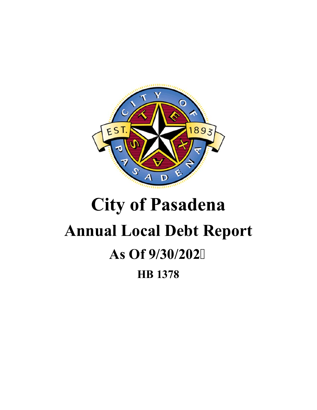

# **City of Pasadena Annual Local Debt Report As Of 9/30/202 HB 1378**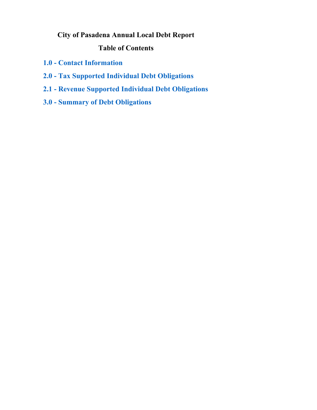## <span id="page-1-0"></span>**City of Pasadena Annual Local Debt Report**

## **Table of Contents**

- **1.0 Contact Information**
- **[2.0 Tax Supported Individual Debt Obligations](#page--1-0)**
- **[2.1 Revenue Supported Individual Debt Obligations](#page--1-0)**
- **[3.0 Summary of Debt Obligations](#page-5-0)**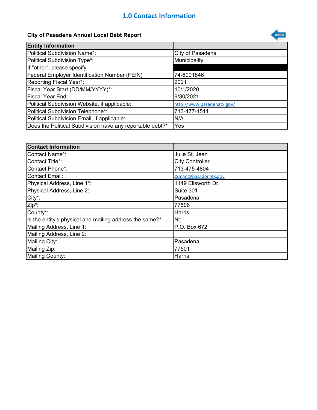## **1.0 Contact Information**

## **City of Pasadena Annual Local Debt Report**



| <b>Contact Information</b>                              |                        |
|---------------------------------------------------------|------------------------|
| <b>Contact Name*:</b>                                   | Julie St. Jean         |
| Contact Title*:                                         | <b>City Controller</b> |
| Contact Phone*:                                         | 713-475-4804           |
| <b>Contact Email:</b>                                   | JSJean@pasadenatx.gov  |
| Physical Address, Line 1*:                              | 1149 Ellsworth Dr.     |
| Physical Address, Line 2:                               | Suite 301              |
| City*:                                                  | Pasadena               |
| Zip*:                                                   | 77506                  |
| County*:                                                | Harris                 |
| Is the entity's physical and mailing address the same?* | No                     |
| Mailing Address, Line 1:                                | P.O. Box 672           |
| Mailing Address, Line 2:                                |                        |
| Mailing City:                                           | Pasadena               |
| Mailing Zip:                                            | 77501                  |
| Mailing County:                                         | Harris                 |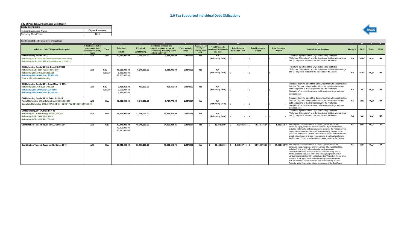### **2.0 Tax Supported Individual Debt Obligations**

#### **City of Pasadena Annual Local Debt Report**

| <b>Entity Information</b>   |                  |
|-----------------------------|------------------|
| Political Subdivision Name: | City of Pasadena |
| Reporting Fiscal Year:      | 2021             |



| <b>Tax Supported Individual Debt Obligations</b>                                                                                                                                                    |                                                                          |                |                                                 |                          |                                                                                                                      |                               |                                                       |                                                              |                                                |                                       |                                         |                                                                                                                                                                                                                                                                                                                                                                                                                                                                                                                                                                                                                                                             |           |       |       |           |
|-----------------------------------------------------------------------------------------------------------------------------------------------------------------------------------------------------|--------------------------------------------------------------------------|----------------|-------------------------------------------------|--------------------------|----------------------------------------------------------------------------------------------------------------------|-------------------------------|-------------------------------------------------------|--------------------------------------------------------------|------------------------------------------------|---------------------------------------|-----------------------------------------|-------------------------------------------------------------------------------------------------------------------------------------------------------------------------------------------------------------------------------------------------------------------------------------------------------------------------------------------------------------------------------------------------------------------------------------------------------------------------------------------------------------------------------------------------------------------------------------------------------------------------------------------------------------|-----------|-------|-------|-----------|
|                                                                                                                                                                                                     |                                                                          |                |                                                 |                          |                                                                                                                      |                               |                                                       | Ha                                                           | Hh                                             |                                       |                                         |                                                                                                                                                                                                                                                                                                                                                                                                                                                                                                                                                                                                                                                             |           |       |       |           |
| <b>Individual Debt Obligation Description</b>                                                                                                                                                       | If debt is conduit or<br>component debt,<br>enter related entity<br>name | <b>Type</b>    | Principal<br><b>Issued</b>                      | Principal<br>Outstanding | <b>Combined principal and</b><br>interest required to pay all<br>outstanding debt obligations<br>on time and in full | <b>Final Maturity</b><br>Date | Secured in any<br>way by ad<br>valorem taxes<br>(Y/N) | <b>Total Proceeds</b><br>Receiveed from sale of<br>new issue | <b>Total Interest</b><br><b>Earned to Date</b> | <b>Total Proceeds</b><br><b>Spent</b> | <b>Total Proceeds</b><br><b>Unspent</b> | <b>Official Stated Purpose</b>                                                                                                                                                                                                                                                                                                                                                                                                                                                                                                                                                                                                                              | Moody's   | S&P   | Fitch | Kroll     |
| GO Refunding Bonds, 2012<br>Refunding GOB, 2002 \$8,425,000 (recalled 2/15/2012)<br>Refunding GOB, 2003 \$11,975,000 (Recall 2/15/2013)                                                             | N/A                                                                      | Gov            | 20,030,000.00                                   | 3,745,000.00             | 3,854,525.00                                                                                                         | 2/15/2023                     | Yes                                                   | N/A<br>(Refunding Debt)                                      | $\sim$                                         | <b>м.</b>                             |                                         | To refund a portion of the City's outstanding debt (the<br>"Refunded Obligations") in order to achieve debt service savings<br>and (ii) pay costs related to the issuance of the Bonds.                                                                                                                                                                                                                                                                                                                                                                                                                                                                     | <b>NA</b> | "AA-" | "AA"  | <b>NA</b> |
| GO Refunding Bonds, 2012A, Dated 10/1/2012<br>Refunding GOB, 2004 (Gov) \$8,555,000<br>Refunding 2005A (Gov) \$8,690,000<br>Refunding 2005A (Wtr/Swr) \$6,070,000<br>Total = \$23,315,000 Refunding | N/A                                                                      | Gov<br>Wtr/Swr | 16.690.000.00<br>5.885.000.00<br>22.575.000.00  | 6.310.000.00             | 6.815.000.00                                                                                                         | 2/15/2025                     | Yes                                                   | N/A<br>(Refunding Debt)                                      |                                                |                                       |                                         | To refund a portion of the City's outstanding debt (the<br>"Refunded Obligations") in order to achieve debt service savings<br>and (ii) pay costs related to the issuance of the Bonds.                                                                                                                                                                                                                                                                                                                                                                                                                                                                     | <b>NA</b> | "AA-" | "AA"  | <b>NA</b> |
| GO Refunding Bonds, 2014 Dated Nov 15, 2014<br>Refunding 2005A (Gov) \$4,460,000<br>Refunding 2005 (Wtr/Swr) \$6,290,000<br>Refunding 2005A (Wtr/Swr) \$3,115,000                                   | N/A                                                                      | Gov<br>Wtr/Swr | 3.121.063.00<br>6.063.937.00<br>9.185.000.00    | 103.639.00               | 105.452.68                                                                                                           | 2/15/2022                     | Yes                                                   | N/A<br>(Refunding Debt)                                      |                                                |                                       |                                         | Proceeds from the sale of the Bonds, together with a contribution<br>from the City, are being used to refund for certain outstanding<br>debt obligations of the City (collectively, the "Refunded<br>Obligations") in order to achieve debt service savings and pay<br>issuance cost                                                                                                                                                                                                                                                                                                                                                                        | NA        | "AA"  | "AA"  | <b>NA</b> |
| GO Refunding Bonds, 2015, Dated 8-1-2015<br>Partial Refunding GO & Refunding, 2006 \$4,625,000<br>Complete Refunding GOB, 2007 (All Prin - 02/15/17 to 02/15/27) \$8,730,000                        | N/A                                                                      | Gov            | 12,525,000.00                                   | 5,945,000.00             | 6,707,775.00                                                                                                         | 2/15/2027                     | Yes                                                   | N/A<br>(Refunding Debt)                                      |                                                |                                       |                                         | Proceeds from the sale of the Bonds, together with a contribution<br>from the City, are being used to refund for certain outstanding<br>debt obligations of the City (collectively, the "Refunded<br>Obligations") in order to achieve debt service savings and pay<br>issuance cost                                                                                                                                                                                                                                                                                                                                                                        | <b>NA</b> | "AA"  | "AA"  | <b>NA</b> |
| GO Refunding, 2016A, Dated 6-1-16<br>Refunding GO & Refunding 2006 \$1,715,000<br>Refunding COB, 2007 \$3,520,000<br>Refunding GOB, 2008 \$13,770,000                                               | N/A                                                                      | Gov            | 17.405.000.00                                   | 13.150.000.00            | 15.266.675.00                                                                                                        | 2/15/2028                     | Yes                                                   | N/A<br>(Refunding Debt)                                      |                                                |                                       |                                         | To refund a portion of the City's outstanding debt (the<br>"Refunded Obligations") in order to achieve debt service savings<br>and (ii) pay costs related to the issuance of the Bonds.                                                                                                                                                                                                                                                                                                                                                                                                                                                                     | <b>NA</b> | "AA"  | "AA"  | <b>NA</b> |
| Combination Tax and Revenue CO, Series 2017                                                                                                                                                         | N/A                                                                      | Gov            | 19,175,000.00<br>16.305.000.00<br>35.480.000.00 | 18,310,000.00            | 24,160,981.26                                                                                                        | 2/15/2037                     | Yes                                                   | 20,273,280.47 \$                                             | 866,025.65 \$                                  | 19,333,746.81 \$                      |                                         | 1.805.559.31 The purpose of the issuance is to pay for (i) costs to acquire,<br>construct, equip, repair and improve various City-owned facilities,<br>including waterworks and sanitary sewer systems, the Police and Fire<br>Departments, public libraries, civic and community centers, public<br>parks and recreational facilities, and animal shelters, and to construct<br>street, sidewalk and drainage improvements at various locations in<br>the City, and (ii) paying costs related to issuance of the Certificates.                                                                                                                             | <b>NA</b> | "AA"  | "AA"  | <b>NA</b> |
| <b>Combination Tax and Revenue CO. Series 2018</b>                                                                                                                                                  | N/A                                                                      | Gov            | 33,945,000.00                                   | 32,555,000.00            | 46,023,418.75                                                                                                        | 2/15/2038                     | Yes                                                   | 36,430,221.41 \$                                             | $1.210.887.14$ \$                              | 22.748.075.76 \$                      |                                         | 14.893.032.79 The purpose of the issuance is to pay for (i) costs to acquire,<br>construct, equip, repair and improve various City-owned facilities,<br>includingPolice and Fire Departments, public parks and<br>recreational facilities, and the municipal courts building, and to<br>construct street, sidewalk, traffic and drainage improvements at<br>various locations in the City, (collectively, the "Projects"), (ii) pay all or<br>a portion of the legal, fiscal and engineering fees in connection<br>with the Projects, (iii)and purchase land related to any of such<br>Projects, and (iv) pay costs related to issuance of the Certificates | <b>NA</b> | "AA"  | "АА"  | <b>NA</b> |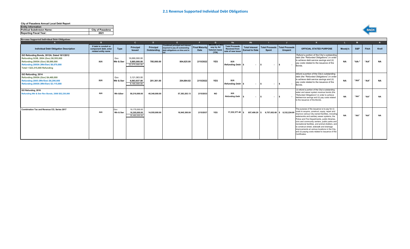#### **City of Pasadena Annual Local Debt Report**

| <b>Entity Information</b>          |                         |
|------------------------------------|-------------------------|
| <b>Political Subdivision Name:</b> | <b>City of Pasadena</b> |
| <b>Reporting Fiscal Year:</b>      | 2021                    |



|                                                                                                                                                                                                     | <b>B</b>                                                              |                  | $\mathbf{C}$                                    | D.                       |                                                                                                              |                               | G.                                                     | Ha                                                                 | <b>H<sub>b</sub></b>                           |                |                                                          |                                                                                                                                                                                                                                                                                                                                                                                                                                                                                                                                |           | M     |                   | N         |
|-----------------------------------------------------------------------------------------------------------------------------------------------------------------------------------------------------|-----------------------------------------------------------------------|------------------|-------------------------------------------------|--------------------------|--------------------------------------------------------------------------------------------------------------|-------------------------------|--------------------------------------------------------|--------------------------------------------------------------------|------------------------------------------------|----------------|----------------------------------------------------------|--------------------------------------------------------------------------------------------------------------------------------------------------------------------------------------------------------------------------------------------------------------------------------------------------------------------------------------------------------------------------------------------------------------------------------------------------------------------------------------------------------------------------------|-----------|-------|-------------------|-----------|
| <b>Individual Debt Obligation Description</b>                                                                                                                                                       | If debt is conduit or<br>component debt, enter<br>related entity name | <b>Type</b>      | Principal<br><b>Issued</b>                      | Principal<br>Outstanding | <b>Combined principal and interest</b><br>required to pay all outstanding<br>debt obligations on time and in | <b>Final Maturity</b><br>Date | i secured in an<br>way by Ad<br>Valorem taxes<br>(Y/N) | <b>Total Proceeds</b><br><b>Received from</b><br>sale of new issue | <b>Total Interest</b><br><b>Earned to Date</b> | Spent          | <b>Total Proceeds   Total Proceeds</b><br><b>Unspent</b> | <b>OFFICIAL STATED PURPOSE</b>                                                                                                                                                                                                                                                                                                                                                                                                                                                                                                 | Moody's   | S&P   | Fitch             | Kroll     |
| GO Refunding Bonds, 2012A, Dated 10/1/2012<br>Refunding GOB, 2004 (Gov) \$8,555,000<br>Refunding 2005A (Gov) \$8,690,000<br>Refunding 2005A (Wtr/Swr) \$6,070,000<br>Total = \$23,315,000 Refunding | N/A                                                                   | Gov<br>Wtr & Swr | 16.690.000.00<br>5.885.000.00<br>22,575,000.00  | 785.000.00               | 804,625.00                                                                                                   | 2/15/2022                     | <b>YES</b>                                             | N/A<br><b>Refunding Debt</b> \$                                    | $\overline{\phantom{a}}$                       | $\sim$         | $\sim$                                                   | Refund a portion of the City's outstanding<br>debt (the "Refunded Obligations") in order<br>to achieve debt service savings and (ii)<br>pay costs related to the issuance of the<br>Bonds.                                                                                                                                                                                                                                                                                                                                     | <b>NA</b> | "AA-" | "АА"              | <b>NA</b> |
| GO Refunding, 2014<br>Refunding 2005A (Gov) \$4,460,000<br>Refunding 2005 (Wtr/Swr) \$6,290,000<br>Refunding 2005A (Wtr/Swr) \$3,115,000                                                            | N/A                                                                   | Gov<br>Wtr & Swr | 3,121,063.00<br>6.063.937.00<br>9.185.000.00    | 201.361.00               | 204.884.82                                                                                                   | 2/15/2022                     | <b>YES</b>                                             | N/A<br><b>Refunding Debt</b> \$                                    | $\overline{\phantom{a}}$                       | $\sim$         |                                                          | refund a portion of the City's outstanding<br>debt (the "Refunded Obligations") in order<br>to achieve debt service savings and (ii)<br>pay costs related to the issuance of the<br>Bonds.                                                                                                                                                                                                                                                                                                                                     | <b>NA</b> | "АА"  | "АА"              | <b>NA</b> |
| GO Refunding, 2016<br><b>Refunding Wtr &amp; Swr Rev Bonds, 2008 \$52,230,000</b>                                                                                                                   | N/A                                                                   | Wtr &Swr         | 50,210,000.00                                   | 45,340,000.00            | 57,383,203.13                                                                                                | 2/15/2033                     | <b>NO</b>                                              | N/A<br>Refunding Debt s                                            | $\overline{\phantom{a}}$                       | $\overline{a}$ |                                                          | (i) refund a portion of the City's outstanding<br>water and sewer system revenue bonds (the<br>"Refunded Obligations") in order to achieve<br>debtservice savings and (ii) pay costs related<br>to the issuance of the Bonds.                                                                                                                                                                                                                                                                                                  | <b>NA</b> | "AA"  | "АА"              | <b>NA</b> |
| <b>Combination Tax and Revenue CO. Series 2017</b>                                                                                                                                                  | N/A                                                                   | Gov<br>Wtr & Swr | 19,175,000.00<br>16,305,000.00<br>35,480,000.00 | 14.555.000.00            | 18,945,300.00                                                                                                | 2/15/2037                     | <b>YES</b>                                             | 17,232,377.48 s                                                    | 857,499.29 \$                                  | 9,757,652.68   | 8.332.224.09                                             | The purpose of the issuance is to pay for (i)<br>costs to acquire, construct, equip, repair and<br>improve various City-owned facilities, including<br>waterworks and sanitary sewer systems, the<br>Police and Fire Departments, public libraries,<br>civic and community centers, public parks and<br>recreational facilities, and animal shelters, and<br>to construct street, sidewalk and drainage<br>improvements at various locations in the City,<br>and (ii) paying costs related to issuance of the<br>Certificates. | <b>NA</b> | "АА"  | $``\Delta\Delta"$ | <b>NA</b> |